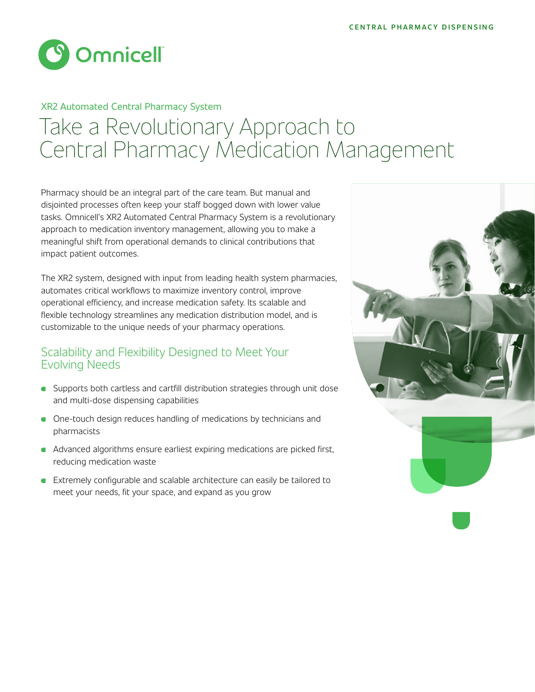

# Take a Revolutionary Approach to Central Pharmacy Medication Management XR2 Automated Central Pharmacy System

Pharmacy should be an integral part of the care team. But manual and disjointed processes often keep your staff bogged down with lower value tasks. Omnicell's XR2 Automated Central Pharmacy System is a revolutionary approach to medication inventory management, allowing you to make a meaningful shift from operational demands to clinical contributions that impact patient outcomes.

The XR2 system, designed with input from leading health system pharmacies, automates critical workflows to maximize inventory control, improve operational efficiency, and increase medication safety. Its scalable and flexible technology streamlines any medication distribution model, and is customizable to the unique needs of your pharmacy operations.

#### Scalability and Flexibility Designed to Meet Your Evolving Needs

- **G** Supports both cartless and cartfill distribution strategies through unit dose and multi-dose dispensing capabilities
- **C** One-touch design reduces handling of medications by technicians and pharmacists
- **A** Advanced algorithms ensure earliest expiring medications are picked first, reducing medication waste
- **Extremely configurable and scalable architecture can easily be tailored to** meet your needs, fit your space, and expand as you grow